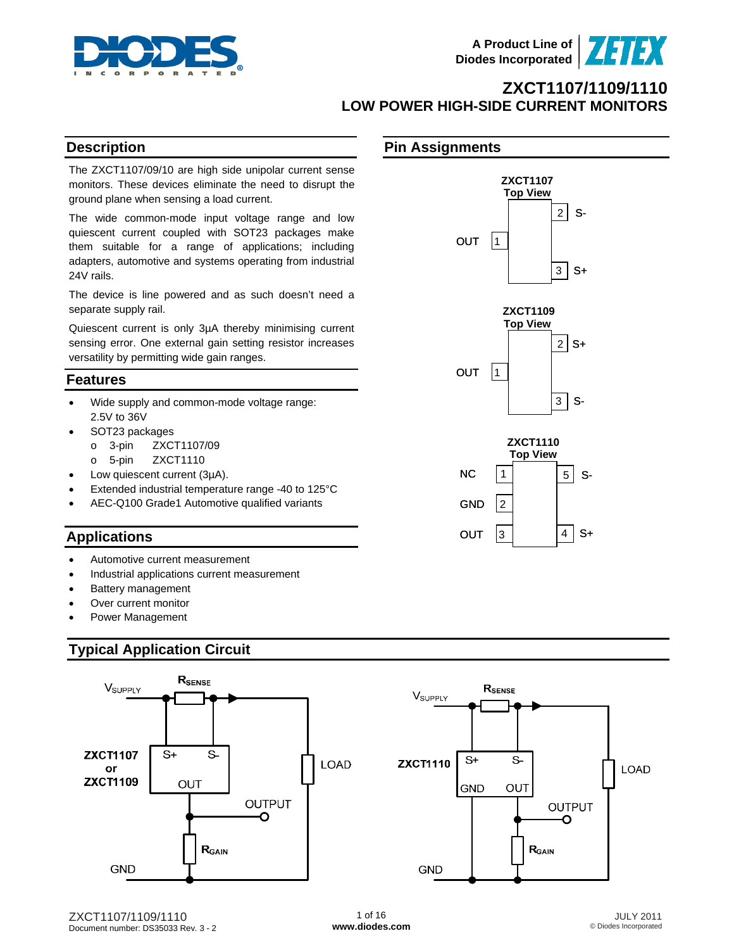

**ZXCT1107 Top View** 

 **ZXCT1109 Top View** 

 **ZXCT1110 Top View** 

 $2$  S-

 $3$  S+

 $2 | S+$ 

 $3$  S-

5 S-

4 S+

# **ZXCT1107/1109/1110 LOW POWER HIGH-SIDE CURRENT MONITORS**

**Pin Assignments**

 $OUT$  1

 $OUT$  |1

GND  $|2|$ 

OUT  $|3|$ 

 $NC$  | 1

### **Description**

The ZXCT1107/09/10 are high side unipolar current sense monitors. These devices eliminate the need to disrupt the ground plane when sensing a load current.

The wide common-mode input voltage range and low quiescent current coupled with SOT23 packages make them suitable for a range of applications; including adapters, automotive and systems operating from industrial 24V rails.

The device is line powered and as such doesn't need a separate supply rail.

Quiescent current is only 3µA thereby minimising current sensing error. One external gain setting resistor increases versatility by permitting wide gain ranges.

### **Features**

- Wide supply and common-mode voltage range: 2.5V to 36V
- SOT23 packages
	- o 3-pin ZXCT1107/09
	- o 5-pin ZXCT1110
- Low quiescent current (3µA).
- Extended industrial temperature range -40 to 125°C
- AEC-Q100 Grade1 Automotive qualified variants

### **Applications**

- Automotive current measurement
- Industrial applications current measurement
- Battery management
- Over current monitor
- Power Management

### **Typical Application Circuit**

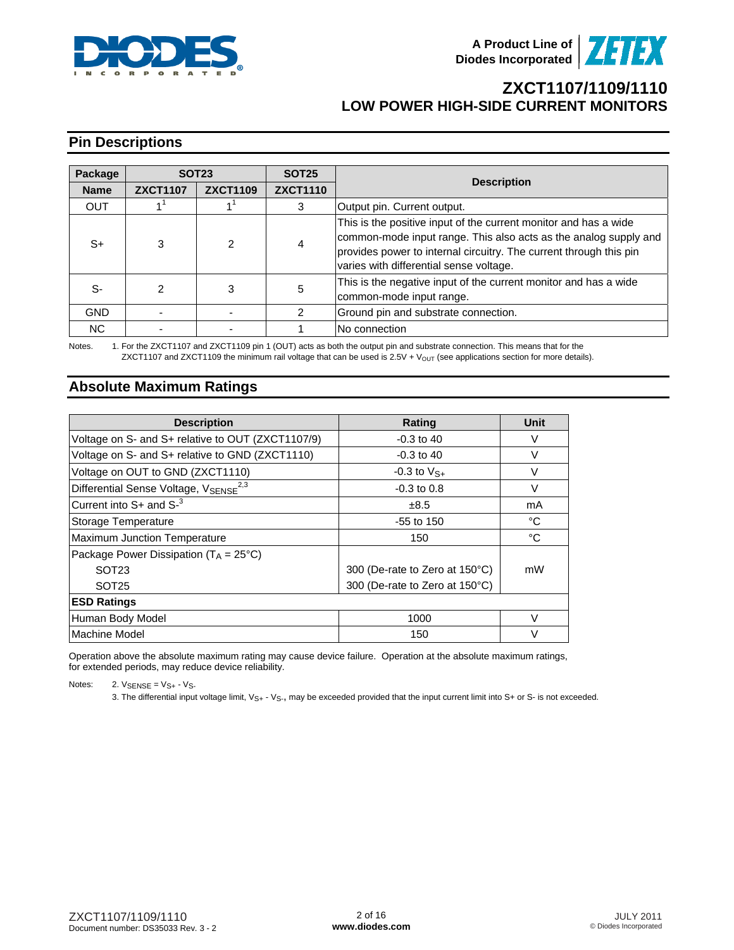



# **Pin Descriptions**

| Package     | <b>SOT23</b>    |                 | <b>SOT25</b>    |                                                                                                                                                                                                                                                       |
|-------------|-----------------|-----------------|-----------------|-------------------------------------------------------------------------------------------------------------------------------------------------------------------------------------------------------------------------------------------------------|
| <b>Name</b> | <b>ZXCT1107</b> | <b>ZXCT1109</b> | <b>ZXCT1110</b> | <b>Description</b>                                                                                                                                                                                                                                    |
| <b>OUT</b>  |                 |                 | 3               | Output pin. Current output.                                                                                                                                                                                                                           |
| S+          | 3               | 2               | 4               | This is the positive input of the current monitor and has a wide<br>common-mode input range. This also acts as the analog supply and<br>provides power to internal circuitry. The current through this pin<br>varies with differential sense voltage. |
| S-          | 2               | 3               | 5               | This is the negative input of the current monitor and has a wide<br>common-mode input range.                                                                                                                                                          |
| <b>GND</b>  |                 |                 |                 | Ground pin and substrate connection.                                                                                                                                                                                                                  |
| NC.         |                 |                 |                 | No connection                                                                                                                                                                                                                                         |

Notes. 1. For the ZXCT1107 and ZXCT1109 pin 1 (OUT) acts as both the output pin and substrate connection. This means that for the  $ZXCT1107$  and  $ZXCT1109$  the minimum rail voltage that can be used is  $2.5V + V_{OUT}$  (see applications section for more details).

### **Absolute Maximum Ratings**

| <b>Description</b>                                | Rating                         | Unit   |
|---------------------------------------------------|--------------------------------|--------|
| Voltage on S- and S+ relative to OUT (ZXCT1107/9) | $-0.3$ to 40                   | V      |
| Voltage on S- and S+ relative to GND (ZXCT1110)   | $-0.3$ to 40                   | V      |
| Voltage on OUT to GND (ZXCT1110)                  | $-0.3$ to $V_{S+}$             | v      |
| Differential Sense Voltage, VSENSE <sup>2,3</sup> | $-0.3$ to 0.8                  | V      |
| Current into $S+$ and $S-$ <sup>3</sup>           | ±8.5                           | mA     |
| Storage Temperature                               | $-55$ to $150$                 | °C     |
| <b>Maximum Junction Temperature</b>               | 150                            | °C     |
| Package Power Dissipation ( $T_A = 25^{\circ}C$ ) |                                |        |
| SOT <sub>23</sub>                                 | 300 (De-rate to Zero at 150°C) | mW     |
| SOT <sub>25</sub>                                 | 300 (De-rate to Zero at 150°C) |        |
| <b>ESD Ratings</b>                                |                                |        |
| Human Body Model                                  | 1000                           | $\vee$ |
| Machine Model                                     | 150                            | V      |

Operation above the absolute maximum rating may cause device failure. Operation at the absolute maximum ratings, for extended periods, may reduce device reliability.

Notes:  $2.$  VSENSE =  $Vs + -Vs$ 

3. The differential input voltage limit,  $V_{S+}$  -  $V_{S-}$ , may be exceeded provided that the input current limit into S+ or S- is not exceeded.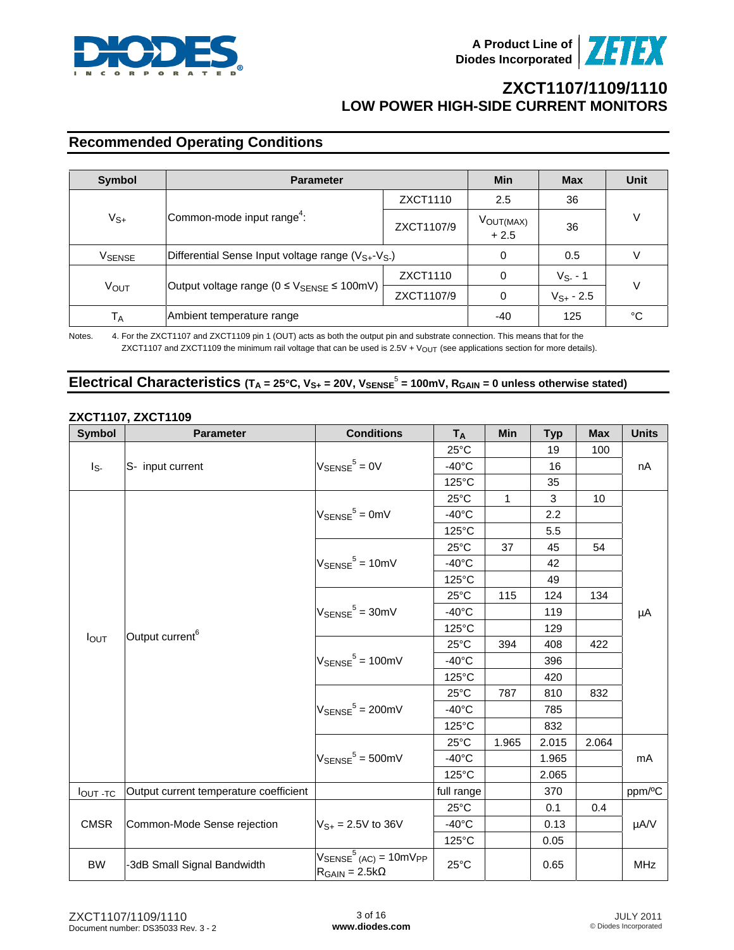



# **Recommended Operating Conditions**

| Symbol         | <b>Parameter</b>                                                      | Min        | <b>Max</b>                      | <b>Unit</b>    |  |  |
|----------------|-----------------------------------------------------------------------|------------|---------------------------------|----------------|--|--|
| $V_{S+}$       | Common-mode input range <sup>4</sup> :                                | ZXCT1110   | 2.5                             | 36             |  |  |
|                |                                                                       | ZXCT1107/9 | V <sub>OUT(MAX)</sub><br>$+2.5$ | 36             |  |  |
| <b>VSENSE</b>  | Differential Sense Input voltage range $(V_{S+}V_{S-})$               | 0          | 0.5                             |                |  |  |
|                |                                                                       | ZXCT1110   | 0                               | $V_{S-}$ - 1   |  |  |
| Vout           | Output voltage range ( $0 \leq V_{\text{SENSE}} \leq 100 \text{mV}$ ) | ZXCT1107/9 | 0                               | $V_{S+}$ - 2.5 |  |  |
| T <sub>A</sub> | Ambient temperature range                                             | -40        | 125                             | °C             |  |  |

Notes. 4. For the ZXCT1107 and ZXCT1109 pin 1 (OUT) acts as both the output pin and substrate connection. This means that for the ZXCT1107 and ZXCT1109 the minimum rail voltage that can be used is  $2.5V + V_{OUT}$  (see applications section for more details).

#### Electrical Characteristics  $(T_A = 25^\circ C, V_{S^+} = 20V, V_{SENSE} = 100$ mV,  $R_{GAN} = 0$  unless otherwise stated)

#### **ZXCT1107, ZXCT1109**

| <b>Symbol</b>    | <b>Parameter</b>                                | <b>Conditions</b>                                                                        | <b>TA</b>       | Min   | <b>Typ</b>       | <b>Max</b> | <b>Units</b> |
|------------------|-------------------------------------------------|------------------------------------------------------------------------------------------|-----------------|-------|------------------|------------|--------------|
|                  |                                                 |                                                                                          | $25^{\circ}$ C  |       | 19               | 100        |              |
| $I_{S}$          | S- input current<br>Output current <sup>6</sup> | $V_{\text{SENSE}}^5 = 0V$                                                                | $-40^{\circ}$ C |       | 16               |            | nA           |
|                  |                                                 |                                                                                          | 125°C           |       | 35               |            |              |
|                  |                                                 |                                                                                          | $25^{\circ}$ C  | 1     | 3                | 10         |              |
|                  |                                                 | $V_{\text{SENSE}}^5 = 0$ mV                                                              | $-40^{\circ}$ C |       | $2.2\phantom{0}$ |            |              |
|                  |                                                 |                                                                                          | $125^{\circ}$ C |       | 5.5              |            |              |
|                  |                                                 |                                                                                          | $25^{\circ}$ C  | 37    | 45               | 54         |              |
|                  |                                                 | $V_{\text{SENSE}}^5 = 10 \text{mV}$                                                      | $-40^{\circ}$ C |       | 42               |            |              |
|                  |                                                 |                                                                                          | $125^{\circ}$ C |       | 49               |            |              |
|                  |                                                 |                                                                                          | $25^{\circ}$ C  | 115   | 124              | 134        | μA           |
|                  |                                                 | $V_{\text{SENSE}}^5$ = 30mV                                                              | $-40^{\circ}$ C |       | 119              |            |              |
|                  |                                                 |                                                                                          | $125^{\circ}$ C |       | 129              |            |              |
| I <sub>OUT</sub> |                                                 | $V_{\text{SENSE}}^5 = 100 \text{mV}$                                                     | $25^{\circ}$ C  | 394   | 408              | 422        |              |
|                  |                                                 |                                                                                          | $-40^{\circ}$ C |       | 396              |            |              |
|                  |                                                 |                                                                                          | 125°C           |       | 420              |            |              |
|                  |                                                 | $V_{\text{SENSE}}^5 = 200 \text{mV}$                                                     | $25^{\circ}$ C  | 787   | 810              | 832        |              |
|                  |                                                 |                                                                                          | $-40^{\circ}$ C |       | 785              |            |              |
|                  |                                                 |                                                                                          | $125^{\circ}$ C |       | 832              |            |              |
|                  |                                                 |                                                                                          | $25^{\circ}$ C  | 1.965 | 2.015            | 2.064      |              |
|                  |                                                 | $V_{\text{SENSE}}^5$ = 500mV                                                             | $-40^{\circ}$ C |       | 1.965            |            | mA           |
|                  |                                                 |                                                                                          | 125°C           |       | 2.065            |            |              |
| $I_{OUT}$ -TC    | Output current temperature coefficient          |                                                                                          | full range      |       | 370              |            | ppm/°C       |
|                  |                                                 |                                                                                          | $25^{\circ}$ C  |       | 0.1              | 0.4        |              |
| <b>CMSR</b>      | Common-Mode Sense rejection                     | $V_{S+} = 2.5V$ to 36V                                                                   | $-40^{\circ}$ C |       | 0.13             |            | µA/V         |
|                  |                                                 |                                                                                          | $125^{\circ}$ C |       | 0.05             |            |              |
| <b>BW</b>        | -3dB Small Signal Bandwidth                     | $V_{\text{SENSE}}^5$ (AC) = 10mV <sub>PP</sub><br>$R_{\text{GAIN}} = 2.5 \text{k}\Omega$ | $25^{\circ}$ C  |       | 0.65             |            | <b>MHz</b>   |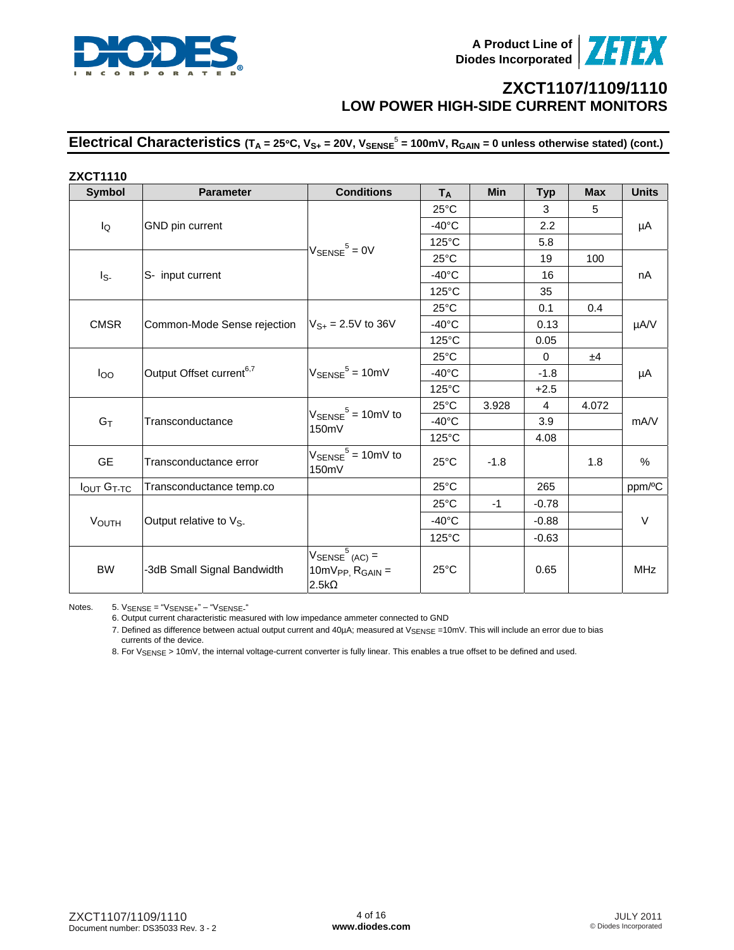

Electrical Characteristics  $(T_A = 25^\circ C, V_{S^+} = 20V, V_{SENSE}^5 = 100 \text{mV}, R_{GAN} = 0$  unless otherwise stated) (cont.)

| <b>ZXCT1110</b>   |                                      |                                                                            |                 |            |                |            |              |
|-------------------|--------------------------------------|----------------------------------------------------------------------------|-----------------|------------|----------------|------------|--------------|
| <b>Symbol</b>     | <b>Parameter</b>                     | <b>Conditions</b>                                                          | <b>TA</b>       | <b>Min</b> | <b>Typ</b>     | <b>Max</b> | <b>Units</b> |
|                   |                                      |                                                                            | $25^{\circ}$ C  |            | 3              | 5          |              |
| lQ                | GND pin current                      |                                                                            | $-40^{\circ}$ C |            | 2.2            |            | μA           |
|                   |                                      | $V_{\text{SENSE}}^5 = 0V$                                                  | $125^{\circ}$ C |            | 5.8            |            |              |
|                   |                                      |                                                                            | $25^{\circ}$ C  |            | 19             | 100        |              |
| Is-               | S- input current                     |                                                                            | $-40^{\circ}$ C |            | 16             |            | nA           |
|                   |                                      |                                                                            | $125^{\circ}$ C |            | 35             |            |              |
|                   |                                      |                                                                            | $25^{\circ}$ C  |            | 0.1            | 0.4        |              |
| <b>CMSR</b>       | Common-Mode Sense rejection          | $V_{S+}$ = 2.5V to 36V                                                     | $-40^{\circ}$ C |            | 0.13           |            | µA/V         |
|                   |                                      |                                                                            | $125^{\circ}$ C |            | 0.05           |            |              |
|                   |                                      |                                                                            | $25^{\circ}$ C  |            | $\Omega$       | ±4         |              |
| $I_{OO}$          | Output Offset current <sup>6,7</sup> | $V_{\text{SENSE}}^5$ = 10mV                                                | $-40^{\circ}$ C |            | $-1.8$         |            | μA           |
|                   |                                      |                                                                            | $125^{\circ}$ C |            | $+2.5$         |            |              |
|                   |                                      |                                                                            | $25^{\circ}$ C  | 3.928      | $\overline{4}$ | 4.072      |              |
| $G_T$             | Transconductance                     | $V_{\text{SENSE}}^5 = 10 \text{mV}$ to<br>150mV                            | $-40^{\circ}$ C |            | 3.9            |            | mA/V         |
|                   |                                      |                                                                            | $125^{\circ}$ C |            | 4.08           |            |              |
| <b>GE</b>         | Transconductance error               | $V_{\text{SENSE}}^5 = 10 \text{mV}$ to<br>150mV                            | $25^{\circ}$ C  | $-1.8$     |                | 1.8        | $\%$         |
| <b>IOUT GT-TC</b> | Transconductance temp.co             |                                                                            | $25^{\circ}$ C  |            | 265            |            | ppm/°C       |
|                   |                                      |                                                                            | $25^{\circ}$ C  | $-1$       | $-0.78$        |            |              |
| <b>VOUTH</b>      | Output relative to V <sub>S-</sub>   |                                                                            | $-40^{\circ}$ C |            | $-0.88$        |            | $\vee$       |
|                   |                                      |                                                                            | $125^{\circ}$ C |            | $-0.63$        |            |              |
| <b>BW</b>         | -3dB Small Signal Bandwidth          | $V_{\text{SENSE}}^{5}$ (AC) =<br>$10mV_{PP}$ , $R_{GAN}$ =<br>$2.5k\Omega$ | $25^{\circ}$ C  |            | 0.65           |            | <b>MHz</b>   |

Notes. 5. VSENSE = "VSENSE+" - "VSENSE-"

6. Output current characteristic measured with low impedance ammeter connected to GND

 7. Defined as difference between actual output current and 40µA; measured at VSENSE =10mV. This will include an error due to bias currents of the device.

8. For V<sub>SENSE</sub> > 10mV, the internal voltage-current converter is fully linear. This enables a true offset to be defined and used.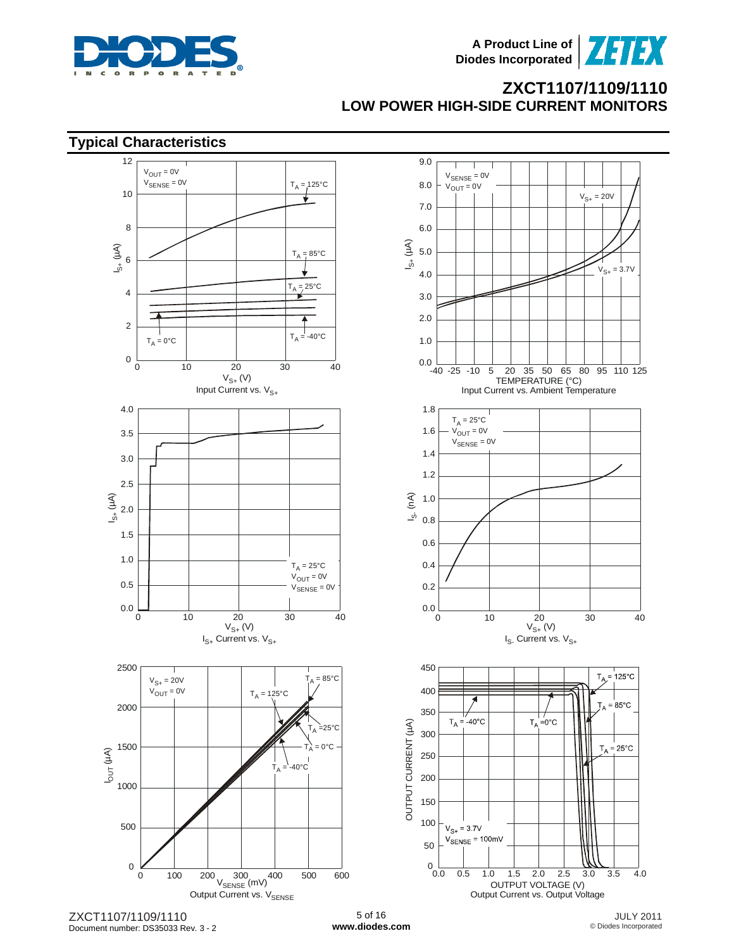





ZXCT1107/1109/1110 Document number: DS35033 Rev. 3 - 2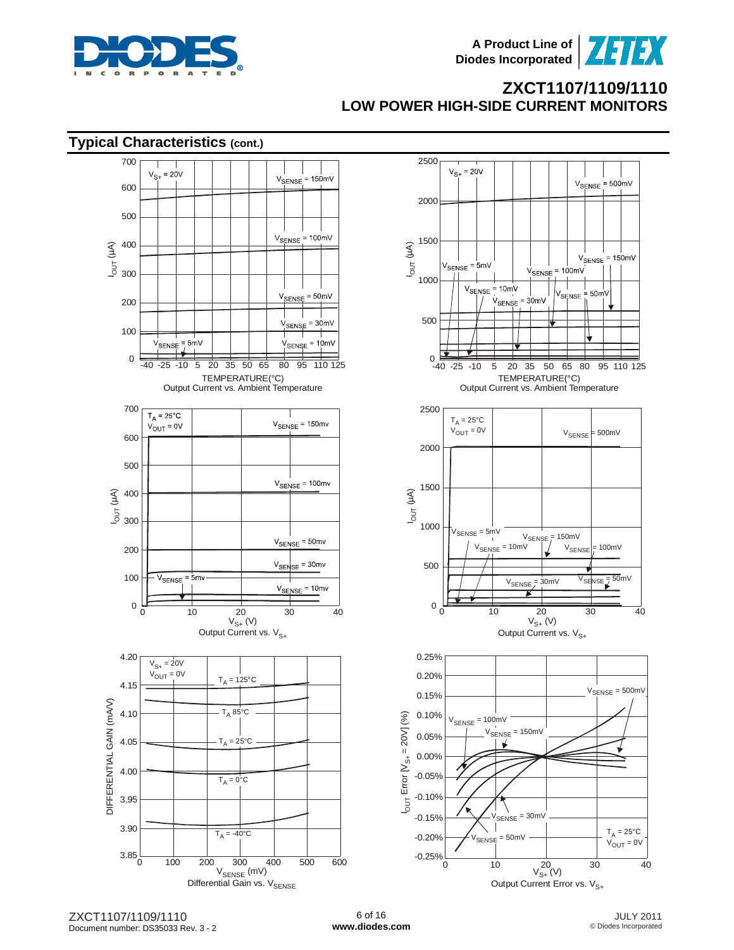



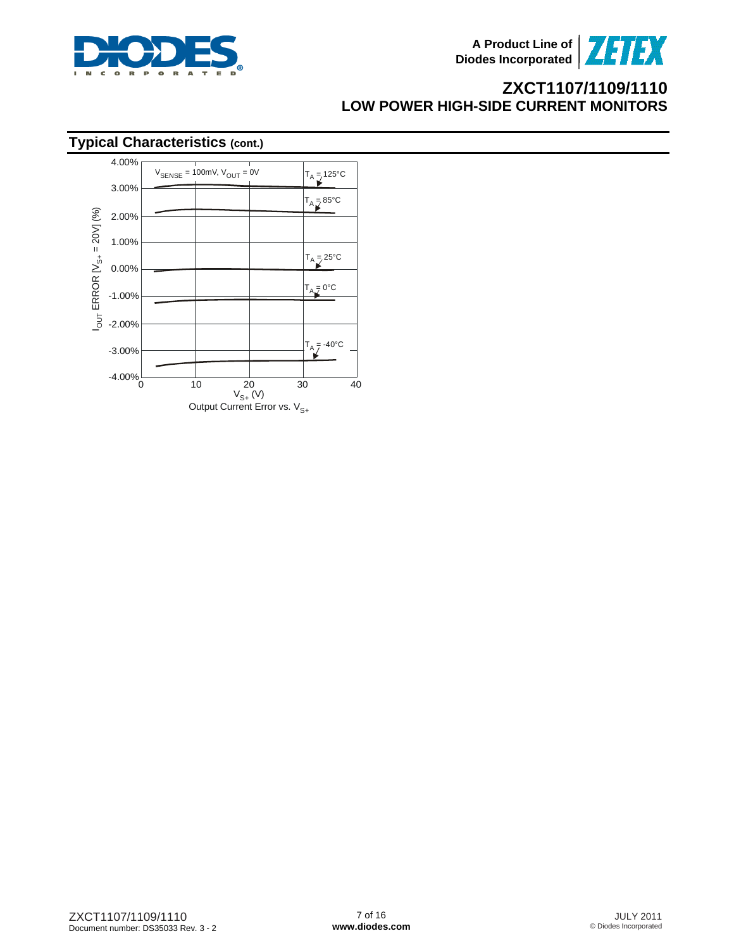

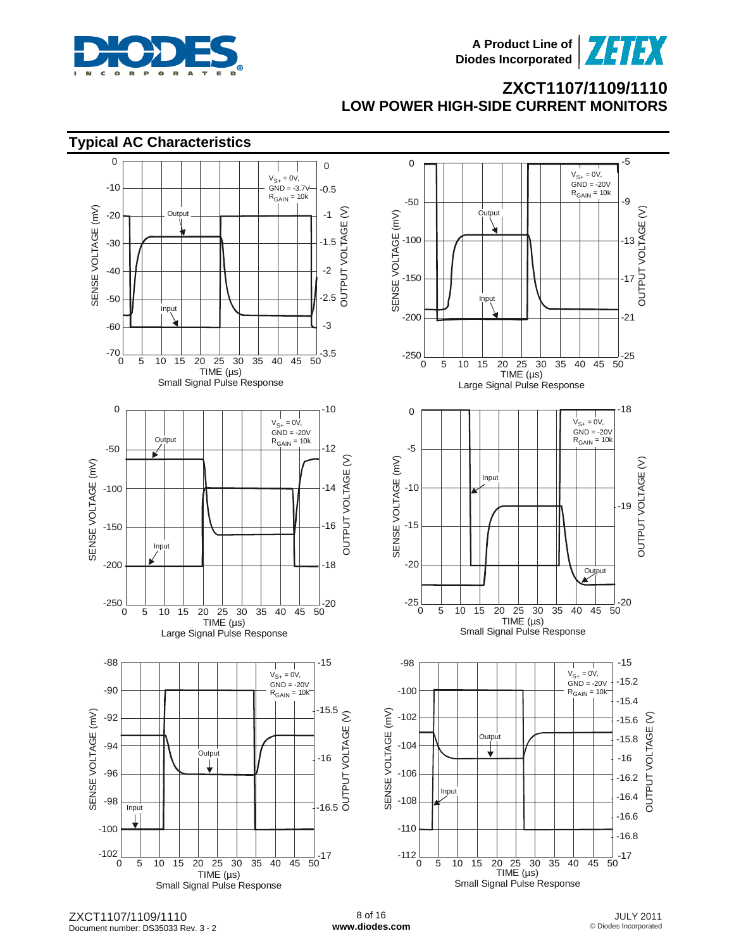

73133





ZXCT1107/1109/1110 Document number: DS35033 Rev. 3 - 2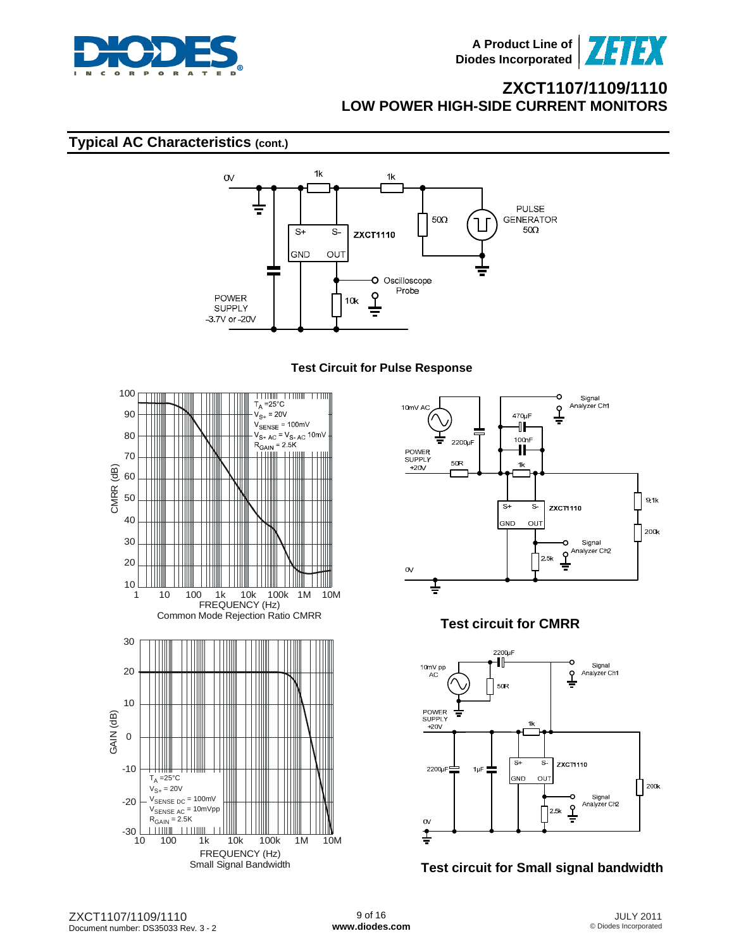

### **Typical AC Characteristics (cont.)**



#### **Test Circuit for Pulse Response**





### **Test circuit for CMRR**



### **Test circuit for Small signal bandwidth**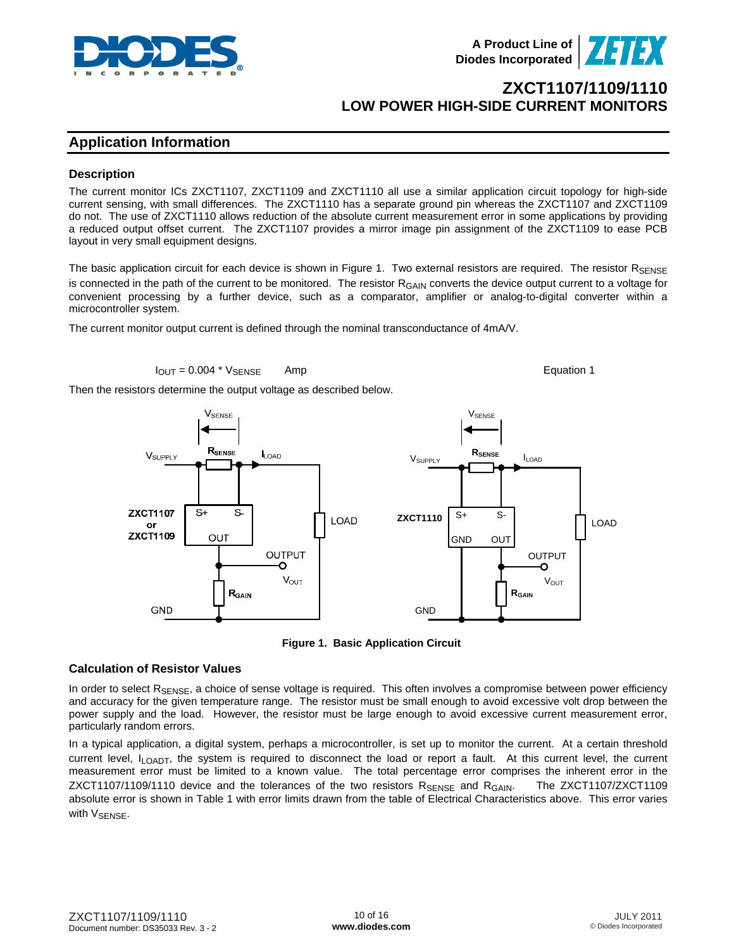

### **Application Information**

#### **Description**

The current monitor ICs ZXCT1107, ZXCT1109 and ZXCT1110 all use a similar application circuit topology for high-side current sensing, with small differences. The ZXCT1110 has a separate ground pin whereas the ZXCT1107 and ZXCT1109 do not. The use of ZXCT1110 allows reduction of the absolute current measurement error in some applications by providing a reduced output offset current. The ZXCT1107 provides a mirror image pin assignment of the ZXCT1109 to ease PCB layout in very small equipment designs.

The basic application circuit for each device is shown in Figure 1. Two external resistors are required. The resistor RSENSE is connected in the path of the current to be monitored. The resistor R<sub>GAIN</sub> converts the device output current to a voltage for convenient processing by a further device, such as a comparator, amplifier or analog-to-digital converter within a microcontroller system.

The current monitor output current is defined through the nominal transconductance of 4mA/V.

$$
I_{\text{OUT}} = 0.004 \times V_{\text{SENSE}} \qquad \text{Amp}
$$

Then the resistors determine the output voltage as described below.





#### **Calculation of Resistor Values**

In order to select  $R_{\text{SENSE}}$ , a choice of sense voltage is required. This often involves a compromise between power efficiency and accuracy for the given temperature range. The resistor must be small enough to avoid excessive volt drop between the power supply and the load. However, the resistor must be large enough to avoid excessive current measurement error, particularly random errors.

In a typical application, a digital system, perhaps a microcontroller, is set up to monitor the current. At a certain threshold current level,  $I_{\text{LOADT}}$ , the system is required to disconnect the load or report a fault. At this current level, the current measurement error must be limited to a known value. The total percentage error comprises the inherent error in the ZXCT1107/1109/1110 device and the tolerances of the two resistors  $R_{\text{SENSE}}$  and  $R_{\text{GAIN}}$ . The ZXCT1107/ZXCT1109 absolute error is shown in Table 1 with error limits drawn from the table of Electrical Characteristics above. This error varies with VSENSE.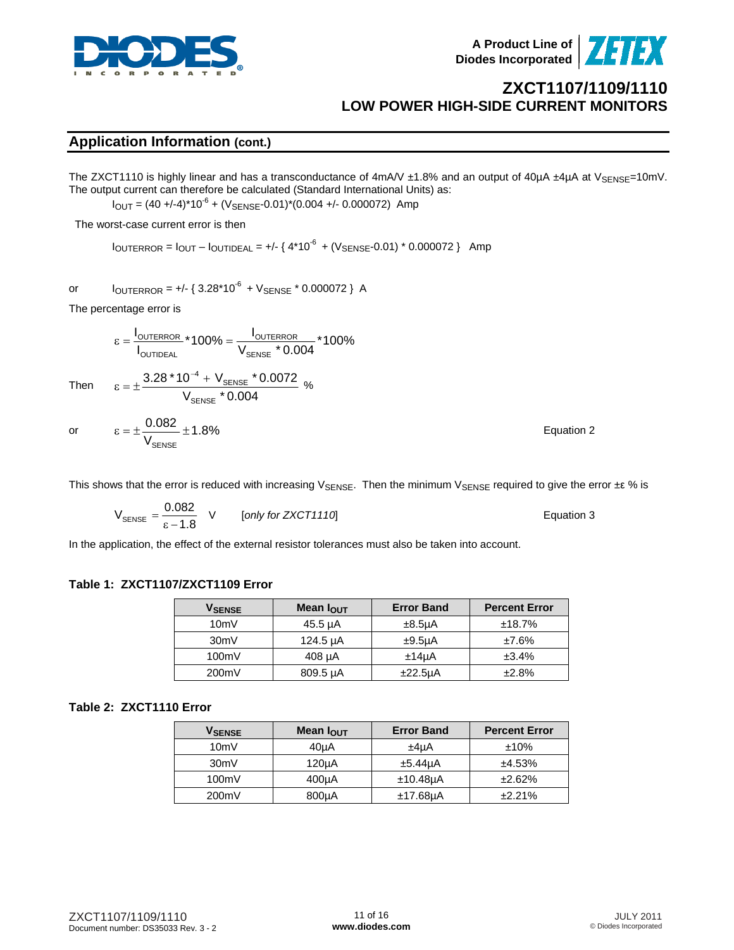

**A Product Line of Diodes Incorporated**



## **ZXCT1107/1109/1110 LOW POWER HIGH-SIDE CURRENT MONITORS**

### **Application Information (cont.)**

The ZXCT1110 is highly linear and has a transconductance of 4mA/V ±1.8% and an output of 40µA ±4µA at V<sub>SENSE</sub>=10mV. The output current can therefore be calculated (Standard International Units) as:

 $I_{\text{OUT}} = (40 + (-4)^* 10^{-6} + (V_{\text{SENSE}} - 0.01)^* (0.004 + (-0.000072))$  Amp

The worst-case current error is then

 $I_{\text{OUTEROR}} = I_{\text{OUT}} - I_{\text{OUTIDEAL}} = +/-$  {  $4*10^{-6}$  + ( $V_{\text{SENSE}}$ -0.01)  $*$  0.000072 } Amp

%

or  $I_{\text{OUTERROR}} = +/-$  {  $3.28*10^{-6} + V_{\text{SENSE}} * 0.000072$  } A

The percentage error is

$$
\epsilon = \frac{I_{\text{OUTERROR}}}{I_{\text{OUTIDEAL}}} * 100\% = \frac{I_{\text{OUTERROR}}}{V_{\text{SENSE}}} * 0.004 * 100\%
$$

 $3.28 * 10^{-4} + V_{\text{\tiny{SENSE}}} * 0.0072$ 

Then

 $\rm V_{\rm SSF}$  \* 0.004 SENSE  $ε = ± \frac{3.28 * 10^{-4} + V_{\text{SENSE}}}{1.4}$ 0.082

−

or 
$$
\varepsilon = \pm \frac{0.002}{V_{\text{SENSE}}} \pm 1.8\%
$$
 Equation 2

This shows that the error is reduced with increasing V<sub>SENSE</sub>. Then the minimum V<sub>SENSE</sub> required to give the error  $\pm \epsilon$  % is

$$
V_{\text{SENSE}} = \frac{0.082}{\epsilon - 1.8}
$$
 V [only for ZXCT1110] Equation 3

In the application, the effect of the external resistor tolerances must also be taken into account.

#### **Table 1: ZXCT1107/ZXCT1109 Error**

| <b>V</b> SENSE | Mean $I_{\text{OUT}}$ | <b>Error Band</b>    | <b>Percent Error</b> |
|----------------|-----------------------|----------------------|----------------------|
| 10mV           | $45.5 \mu A$          | $±8.5\mu A$          | ±18.7%               |
| 30mV           | 124.5 µA              | $±9.5\mu A$          | $±7.6\%$             |
| 100mV          | $408 \mu A$           | $±14\mu A$           | ±3.4%                |
| 200mV          | 809.5 µA              | ±22.5 <sub>µ</sub> A | ±2.8%                |

#### **Table 2: ZXCT1110 Error**

| V <sub>SENSE</sub> | Mean $I_{\text{OUT}}$ | <b>Error Band</b>    | <b>Percent Error</b> |
|--------------------|-----------------------|----------------------|----------------------|
| 10mV               | 40 <sub>µ</sub> A     | ±4uA                 | $±10\%$              |
| 30mV               | 120 <sub>µ</sub> A    | ±5.44 <sub>u</sub> A | ±4.53%               |
| 100mV              | 400 <sub>µ</sub> A    | $±10.48\mu$ A        | ±2.62%               |
| 200mV              | 800µA                 | $±17.68\mu A$        | ±2.21%               |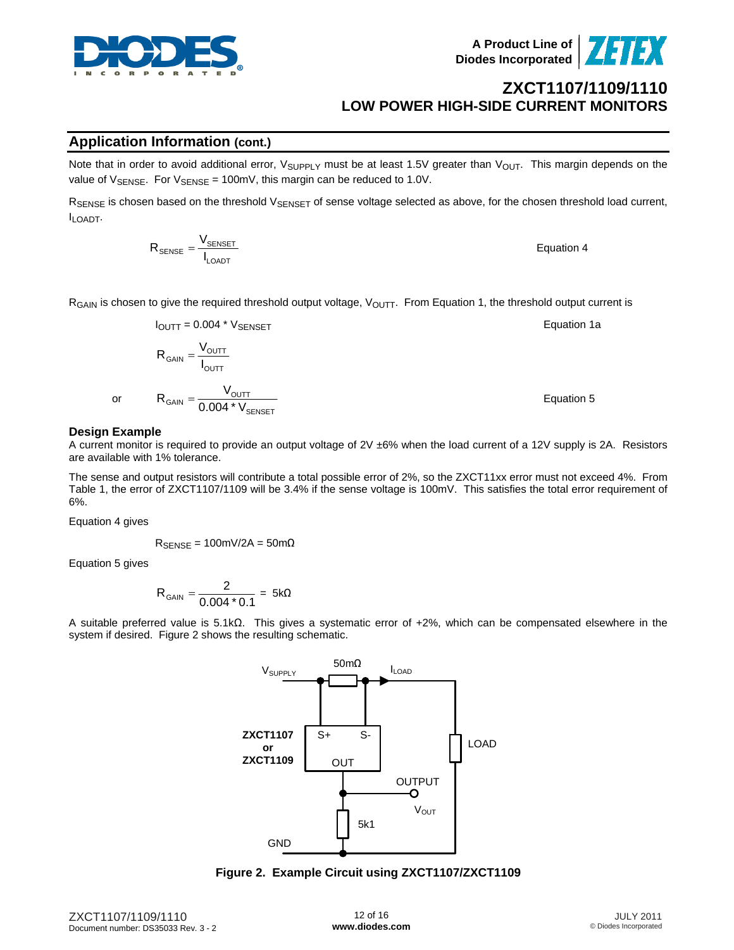

**Application Information (cont.)**

 $R_{GAIN}$  is chosen to give the required threshold output voltage,  $V_{OUTT}$ . From Equation 1, the threshold output current is

$$
I_{\text{OUTT}} = 0.004 \times V_{\text{SENSET}}
$$
  
\n
$$
R_{\text{GAN}} = \frac{V_{\text{OUTT}}}{I_{\text{OUTT}}}
$$
  
\nor 
$$
R_{\text{GAN}} = \frac{V_{\text{OUTT}}}{0.004 \times V_{\text{SENSET}}}
$$
  
\nEquation 5  
\nEquation 5

#### **Design Example**

or

A current monitor is required to provide an output voltage of 2V ±6% when the load current of a 12V supply is 2A. Resistors are available with 1% tolerance.

The sense and output resistors will contribute a total possible error of 2%, so the ZXCT11xx error must not exceed 4%. From Table 1, the error of ZXCT1107/1109 will be 3.4% if the sense voltage is 100mV. This satisfies the total error requirement of 6%.

Equation 4 gives

 $R_{\text{SENSE}} = 100 \text{mV} / 2 \text{A} = 50 \text{m} \Omega$ 

LOADT

Equation 5 gives

$$
R_{GAIN} = \frac{2}{0.004 * 0.1} = 5k\Omega
$$

A suitable preferred value is 5.1kΩ. This gives a systematic error of +2%, which can be compensated elsewhere in the system if desired. Figure 2 shows the resulting schematic.

ILOAD

 $V_{\text{SUPPLY}}$  50m $\Omega$ 

**Figure 2. Example Circuit using ZXCT1107/ZXCT1109** 

ZXCT1107/1109/1110 Document number: DS35033 Rev. 3 - 2





**ZXCT1107/1109/1110**

**LOW POWER HIGH-SIDE CURRENT MONITORS** 

 $R_{\text{SENSE}} = \frac{V_{\text{SENSE}}}{I_{\text{LOADT}}}$  Equation 4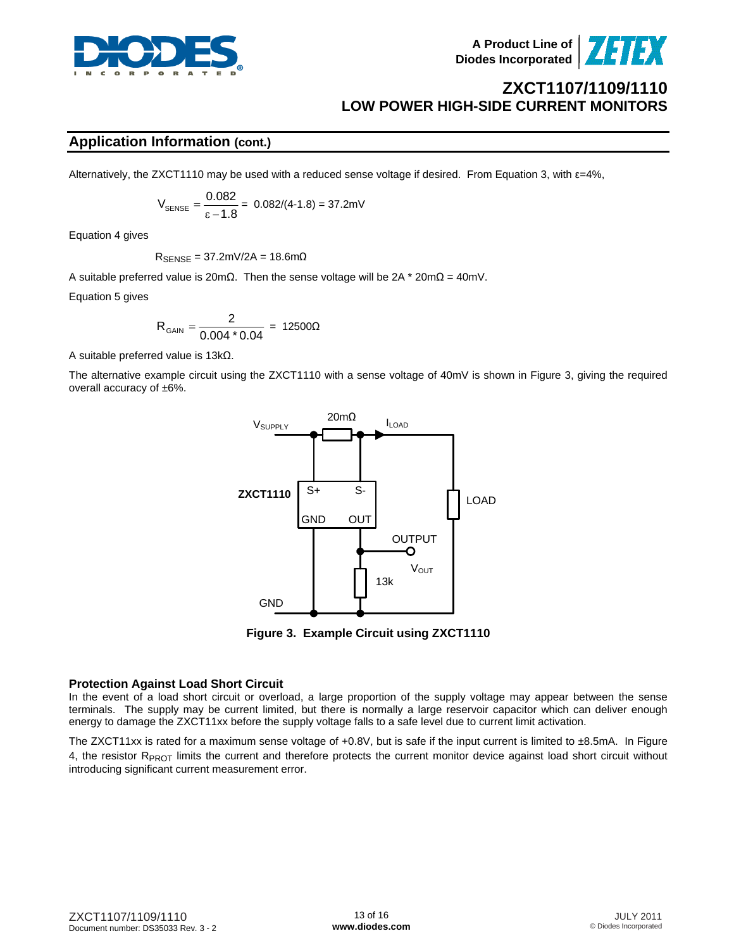



### **Application Information (cont.)**

Alternatively, the ZXCT1110 may be used with a reduced sense voltage if desired. From Equation 3, with ε=4%,

$$
V_{\text{SENSE}} = \frac{0.082}{\epsilon - 1.8} = 0.082/(4-1.8) = 37.2 \text{mV}
$$

Equation 4 gives

 $R_{\text{SENSE}} = 37.2 \text{mV} / 2 \text{A} = 18.6 \text{m}$ 

A suitable preferred value is 20mΩ. Then the sense voltage will be 2A \* 20mΩ = 40mV.

Equation 5 gives

$$
R_{GAIN} = \frac{2}{0.004 * 0.04} = 12500 \Omega
$$

A suitable preferred value is 13kΩ.

The alternative example circuit using the ZXCT1110 with a sense voltage of 40mV is shown in Figure 3, giving the required overall accuracy of ±6%.



**Figure 3. Example Circuit using ZXCT1110** 

#### **Protection Against Load Short Circuit**

In the event of a load short circuit or overload, a large proportion of the supply voltage may appear between the sense terminals. The supply may be current limited, but there is normally a large reservoir capacitor which can deliver enough energy to damage the ZXCT11xx before the supply voltage falls to a safe level due to current limit activation.

The ZXCT11xx is rated for a maximum sense voltage of  $+0.8V$ , but is safe if the input current is limited to  $\pm 8.5$ mA. In Figure 4, the resistor  $R_{PROT}$  limits the current and therefore protects the current monitor device against load short circuit without introducing significant current measurement error.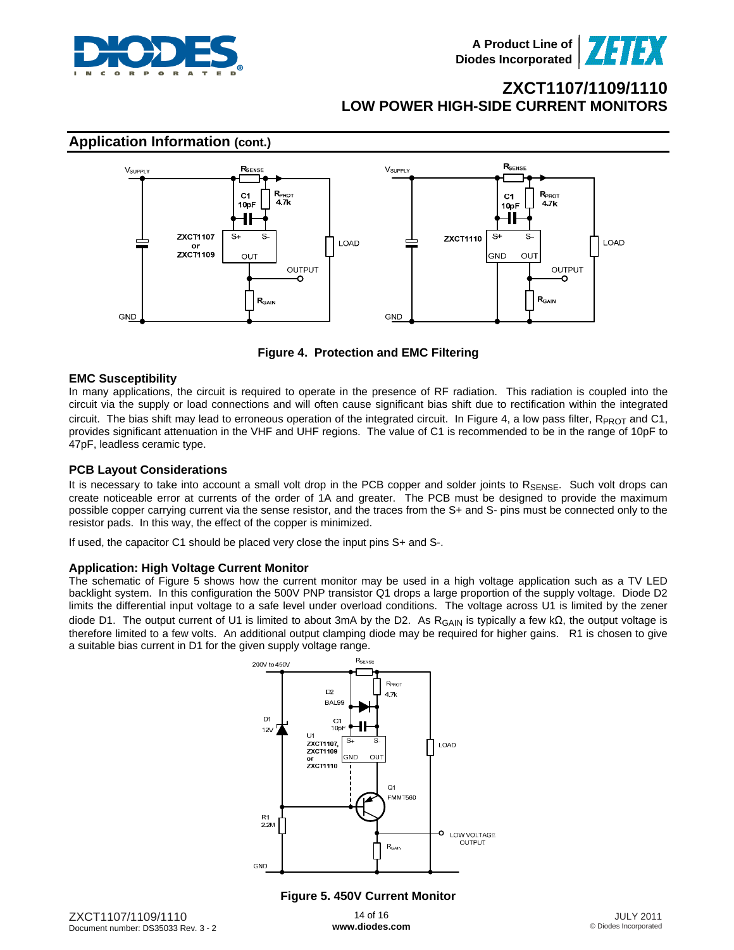



**Figure 4. Protection and EMC Filtering** 

#### **EMC Susceptibility**

In many applications, the circuit is required to operate in the presence of RF radiation. This radiation is coupled into the circuit via the supply or load connections and will often cause significant bias shift due to rectification within the integrated circuit. The bias shift may lead to erroneous operation of the integrated circuit. In Figure 4, a low pass filter,  $R_{PROT}$  and C1, provides significant attenuation in the VHF and UHF regions. The value of C1 is recommended to be in the range of 10pF to 47pF, leadless ceramic type.

#### **PCB Layout Considerations**

It is necessary to take into account a small volt drop in the PCB copper and solder joints to RSENSE. Such volt drops can create noticeable error at currents of the order of 1A and greater. The PCB must be designed to provide the maximum possible copper carrying current via the sense resistor, and the traces from the S+ and S- pins must be connected only to the resistor pads. In this way, the effect of the copper is minimized.

If used, the capacitor C1 should be placed very close the input pins S+ and S-.

#### **Application: High Voltage Current Monitor**

The schematic of Figure 5 shows how the current monitor may be used in a high voltage application such as a TV LED backlight system. In this configuration the 500V PNP transistor Q1 drops a large proportion of the supply voltage. Diode D2 limits the differential input voltage to a safe level under overload conditions. The voltage across U1 is limited by the zener diode D1. The output current of U1 is limited to about 3mA by the D2. As R<sub>GAIN</sub> is typically a few kΩ, the output voltage is therefore limited to a few volts. An additional output clamping diode may be required for higher gains. R1 is chosen to give a suitable bias current in D1 for the given supply voltage range.



#### **Figure 5. 450V Current Monitor**

14 of 16 **[www.diodes.com](http://www.diodes.com)**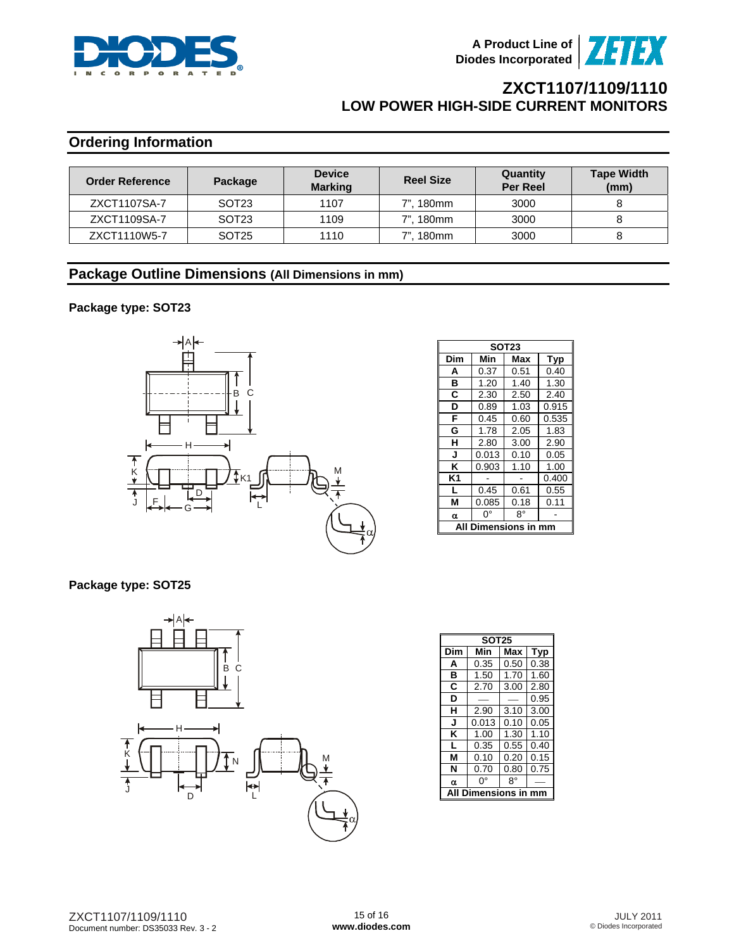



# **Ordering Information**

| <b>Order Reference</b> | Package           | <b>Device</b><br><b>Marking</b> | <b>Reel Size</b> | Quantity<br><b>Per Reel</b> | <b>Tape Width</b><br>(mm) |
|------------------------|-------------------|---------------------------------|------------------|-----------------------------|---------------------------|
| ZXCT1107SA-7           | SOT <sub>23</sub> | 1107                            | 7", 180mm        | 3000                        |                           |
| ZXCT1109SA-7           | SOT <sub>23</sub> | 1109                            | 7", 180mm        | 3000                        |                           |
| ZXCT1110W5-7           | SOT <sub>25</sub> | 1110                            | 7", 180mm        | 3000                        |                           |

### **Package Outline Dimensions (All Dimensions in mm)**

#### **Package type: SOT23**



| <b>SOT23</b> |       |      |            |  |  |  |
|--------------|-------|------|------------|--|--|--|
| Dim          | Min   | Max  | <b>Typ</b> |  |  |  |
| A            | 0.37  | 0.51 | 0.40       |  |  |  |
| в            | 1.20  | 1.40 | 1.30       |  |  |  |
| C            | 2.30  | 2.50 | 2.40       |  |  |  |
| D            | 0.89  | 1.03 | 0.915      |  |  |  |
| F            | 0.45  | 0.60 | 0.535      |  |  |  |
| G            | 1.78  | 2.05 | 1.83       |  |  |  |
| н            | 2.80  | 3.00 | 2.90       |  |  |  |
| J            | 0.013 | 0.10 | 0.05       |  |  |  |
| Κ            | 0.903 | 1.10 | 1.00       |  |  |  |
| K1           |       |      | 0.400      |  |  |  |
| L            | 0.45  | 0.61 | 0.55       |  |  |  |
| М            | 0.085 | 0.18 | 0.11       |  |  |  |
| α            | ŋ۰    | 8°   |            |  |  |  |
| mensions i   |       |      |            |  |  |  |

#### **Package type: SOT25**



| <b>SOT25</b> |                   |      |      |  |  |  |  |  |
|--------------|-------------------|------|------|--|--|--|--|--|
| Dim          | Min<br>Max<br>Typ |      |      |  |  |  |  |  |
| A            | 0.35              | 0.50 | 0.38 |  |  |  |  |  |
| в            | 1.50              | 1.70 | 1.60 |  |  |  |  |  |
| C            | 2.70              | 3.00 | 2.80 |  |  |  |  |  |
| D            |                   |      | 0.95 |  |  |  |  |  |
| н            | 2.90              | 3.10 | 3.00 |  |  |  |  |  |
| J            | 0.013             | 0.10 | 0.05 |  |  |  |  |  |
| κ            | 1.00              | 1.30 | 1.10 |  |  |  |  |  |
| L            | 0.35              | 0.55 | 0.40 |  |  |  |  |  |
| м            | 0.10              | 0.20 | 0.15 |  |  |  |  |  |
| N            | 0.70              | 0.80 | 0.75 |  |  |  |  |  |
| α            | 0°                | 8°   |      |  |  |  |  |  |
|              | nensions          |      |      |  |  |  |  |  |